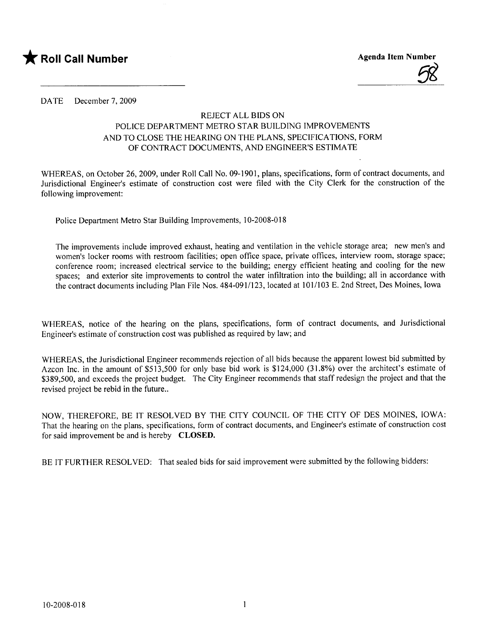



DATE December 7, 2009

## REJECT ALL BIDS ON POLICE DEPARTMENT METRO STAR BUILDING IMPROVEMENTS AND TO CLOSE THE HEARING ON THE PLANS, SPECIFICATIONS, FORM OF CONTRACT DOCUMENTS, AND ENGINEER'S ESTIMATE

WHEREAS, on October 26, 2009, under Roll Cal1 No. 09-1901, plans, specifications, form of contract documents, and Jurisdictional Engineer's estimate of construction cost were fied with the City Clerk for the construction of the following improvement:

Police Department Metro Star Building Improvements, 10-2008-018

The improvements include improved exhaust, heating and ventilation in the vehicle storage area; new men's and women's locker rooms with restroom facilities; open office space, private offices, interview room, storage space; conference room; increased electrical service to the building; energy effcient heating and cooling for the new spaces; and exterior site improvements to control the water infitration into the building; al1 in accordance with the contract documents including Plan File Nos. 484-091/123, located at 101/103 E. 2nd Street, Des Moines, Iowa

WHEREAS, notice of the hearing on the plans, specifications, form of contract documents, and Jurisdictional Engineer's estimate of construction cost was published as required by law; and

WHEREAS, the Jurisdictional Engineer recommends rejection of al1 bids because the apparent lowest bid submitted by Azcon Inc. in the amount of \$513,500 for only base bid work is \$124,000 (31.8%) over the architect's estimate of \$389,500, and exceeds the project budget. The City Engineer recommends that staff redesign the project and that the revised project be rebid in the future..

NOW, THEREFORE, BE IT RESOLVED BY THE CITY COUNCIL OF THE CITY OF DES MOINES, IOWA: That the hearing on the plans, specifications, form of contract documents, and Engineer's estimate of construction cost for said improvement be and is hereby CLOSED.

BE IT FURTHER RESOLVED: That sealed bids for said improvement were submitted by the following bidders: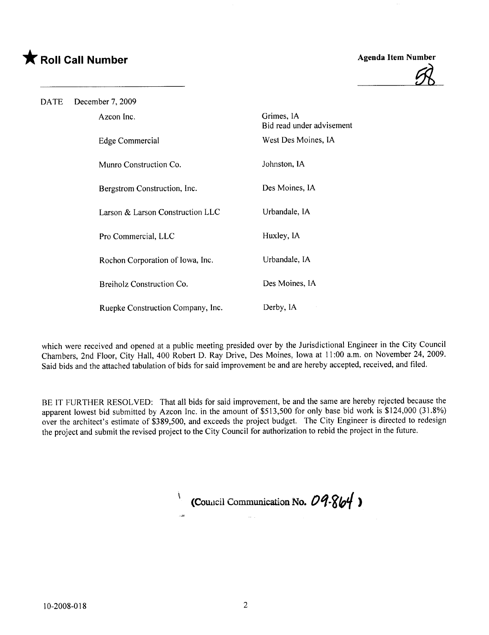## \* Roll Call Number Agenda Item Number



DATE December 7, 2009 Edge Commercial Grimes, IA Bid read under advisement West Des Moines, IA Azcon Inc. Munro Construction Co. Johnston,IA Bergstrom Construction, Inc. Des Moines, IA Larson & Larson Construction LLC Urbandale, IA Pro Commercial, LLC Huxley, IA Rochon Corporation of Iowa, Inc. Urbandale, IA Breiholz Construction Co. Des Moines, IA Ruepke Construction Company, Inc. Derby, IA

which were received and opened at a public meeting presided over by the Jurisdictional Engineer in the City Council Chambers, 2nd Floor, City Hal1, 400 Robert D. Ray Drive, Des Moines, Iowa at 11 :00 a.m. on November 24, 2009. Said bids and the attached tabulation of bids for said improvement be and are hereby accepted, received, and fied.

BE IT FURTHER RESOLVED: That al1 bids for said improvement, be and the same are hereby rejected because the apparent lowest bid submitted by Azcon Inc. in the amount of \$513,500 for only base bid work is \$124,000 (31.8%) over the architect's estimate of \$389,500, and exceeds the project budget. The City Engineer is directed to redesign the project and submit the revised project to the City Council for authorization to rebid the project in the future.

(Council Communication No.  $09-864$ )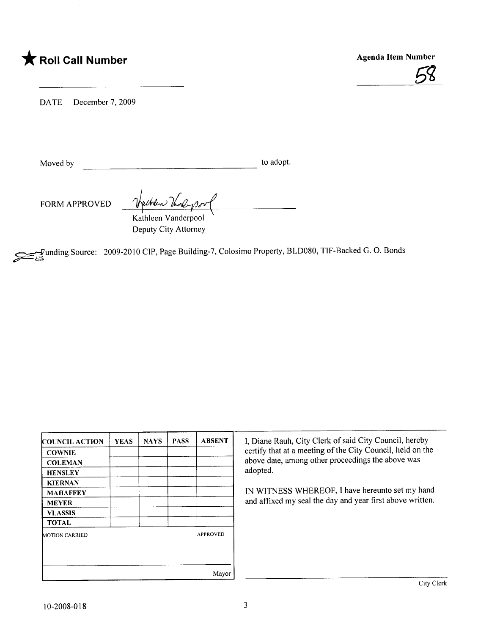## \* Roll Call Number Agenda Item Number



DATE December 7, 2009

Moved by to adopt.

FORM APPROVED Thursday Kathleen Vanderpool

Deputy City Attorney

~unding Source: 2009-2010 CIP, Page Building-7, Colosimo Property, BLD080, TlF-Backed G. O. Bonds

| <b>COUNCIL ACTION</b> | <b>YEAS</b> | <b>NAYS</b> | <b>PASS</b> | <b>ABSENT</b>   | I, Diane   |
|-----------------------|-------------|-------------|-------------|-----------------|------------|
| <b>COWNIE</b>         |             |             |             |                 | certify tl |
| <b>COLEMAN</b>        |             |             |             |                 | above da   |
| <b>HENSLEY</b>        |             |             |             |                 | adopted.   |
| <b>KIERNAN</b>        |             |             |             |                 |            |
| <b>MAHAFFEY</b>       |             |             |             |                 | IN WIT     |
| <b>MEYER</b>          |             |             |             |                 | and affi:  |
| <b>VLASSIS</b>        |             |             |             |                 |            |
| <b>TOTAL</b>          |             |             |             |                 |            |
| <b>MOTION CARRIED</b> |             |             |             | <b>APPROVED</b> |            |
|                       |             |             |             |                 |            |
|                       |             |             |             |                 |            |
|                       |             |             |             | Mayor           |            |

I, Diane Rauh, City Clerk of said City Council, hereby certify that at a meeting of the City Council, held on the above date, among other proceedings the above was adopted.

IN WITNESS WHEREOF, I have hereunto set my hand and affixed my seal the day and year first above written.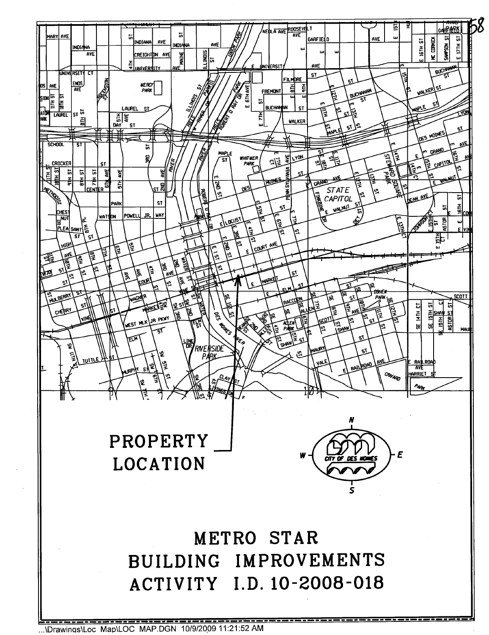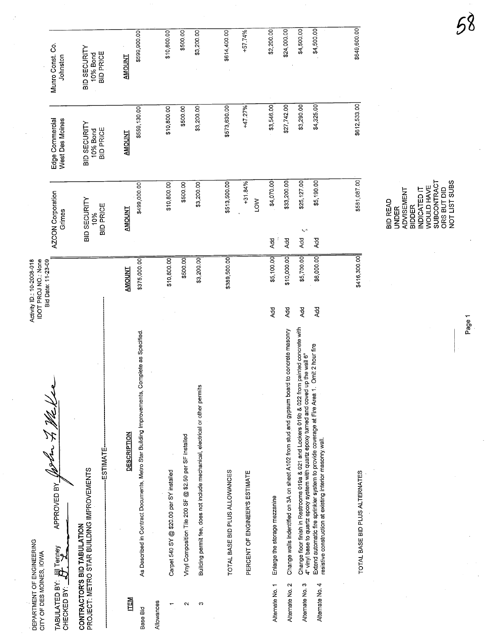| DEPARTMENT OF ENGINEERING<br>CITY OF DES MOINES, IOWA |                                                                                                                                                                                         | Activity ID: 10-2008-018<br>IDOT PROJ NO.: None<br>Bid Date: 11-23-09 |                                                                                                                                                           |                                                     |                                              |
|-------------------------------------------------------|-----------------------------------------------------------------------------------------------------------------------------------------------------------------------------------------|-----------------------------------------------------------------------|-----------------------------------------------------------------------------------------------------------------------------------------------------------|-----------------------------------------------------|----------------------------------------------|
| TABULATED BY: U                                       | $\sqrt[4]{}$<br>A MEDIED BY JOShan 7. 1862<br>Tenney                                                                                                                                    |                                                                       | AZCON Corporation<br>Grimes                                                                                                                               | Edge Commercial<br>West Des Moines                  | Munro Const. Co.<br>Johnston                 |
|                                                       | ESTIMATE<br>PROJECT: METRO STAR BUILDING IMPROVEMENTS<br>CONTRACTOR'S BID TABULATION                                                                                                    |                                                                       | <b>BID SECURITY</b><br><b>BID PRICE</b><br>10%                                                                                                            | <b>BID SECURITY</b><br><b>BID PRICE</b><br>10% Bond | BID SECURITY<br><b>BID PRICE</b><br>10% Bond |
| 国工<br>Base Bid                                        | As Described in Contract Documents, Metro Star Building Improvements, Complete as Specified.<br><b>DESCRIPTION</b>                                                                      | \$375,000.00<br><b>AMOUNT</b>                                         | \$499,000.00<br><b>AMOUNT</b>                                                                                                                             | \$559,130.00<br><b>AMOUNT</b>                       | \$599,900.00<br><b>AMOUNT</b>                |
| Allowances                                            | Carpet 540 SY @ \$20.00 per SY installed                                                                                                                                                | \$10,800.00                                                           | \$10,800.00                                                                                                                                               | \$10,800.00                                         | \$10,800.00                                  |
| $\sim$                                                | Vinyl Composition Tile 200 SF @ \$2.50 per SF installed                                                                                                                                 | \$500.00                                                              | \$500.00                                                                                                                                                  | \$500.00                                            | \$500.00                                     |
| c                                                     | Building permit fee, does not include mechanical, electrical or other permits                                                                                                           | \$3,200.00                                                            | \$3,200.00                                                                                                                                                | \$3,200.00                                          | \$3,200.00                                   |
|                                                       | TOTAL BASE BID PLUS ALLOWANCES                                                                                                                                                          | \$389,500.00                                                          | \$513,500.00                                                                                                                                              | \$573,630.00                                        | \$614,400.00                                 |
|                                                       | PERCENT OF ENGINEER'S ESTIMATE                                                                                                                                                          |                                                                       | +31.84%<br><b>NO1</b>                                                                                                                                     | +47.27%                                             | +57.74%                                      |
| $\overline{\phantom{0}}$<br>Alternate No.             | Enlarge the storage mezzanine                                                                                                                                                           | \$5,100.00<br><b>Add</b>                                              | \$4,070.00<br>Add                                                                                                                                         | \$3,546.00                                          | \$2,200.00                                   |
| Ν<br>Alternate No.                                    | to concrete masonry<br>Change walls indentified on 3A on sheet A102 from stud and gypsum board                                                                                          | \$10,000.00<br>Add                                                    | \$33,200.00<br>Add                                                                                                                                        | \$27,742.00                                         | \$24,000.00                                  |
| ო<br>Alternate No.                                    | Change floor finish in Restrooms 019a & 021 and Lockers 019b & 022 from painted concrete with<br>4" vinyl base to quartz epoxy system with quartz epoxy turned and coved up the wall 6" | \$5,700.00<br>Add                                                     | \$25,127.00<br>$\mathbf{S}_\mathbf{A}$ to<br>Add                                                                                                          | \$3,290.00                                          | \$4,500.00                                   |
| 4<br>Alternate No.                                    | Omit 2 hour fire<br>Extend automatic fire sprinkler system to provide coverage at Fire Area 1.<br>resistive construction at existing interior masonry wall.                             | \$6,000.00<br><b>Add</b>                                              | \$5,190.00<br>Add                                                                                                                                         | \$4,325.00                                          | \$4,500.00                                   |
|                                                       | TOTAL BASE BID PLUS ALTERNATES                                                                                                                                                          | \$416,300.00                                                          | \$581,087.00                                                                                                                                              | \$612,533.00                                        | \$649,600.00                                 |
|                                                       |                                                                                                                                                                                         |                                                                       | NOT LIST SUBS<br>SUBCONTRACT<br><b>WOULD HAVE</b><br>ORS BUT DID<br><b>ADVISEMENT</b><br>INDICATED IT<br><b>BID READ</b><br><b>BIDDER</b><br><b>UNDER</b> |                                                     |                                              |

Page 1

NOT LIST SUBS

 $58$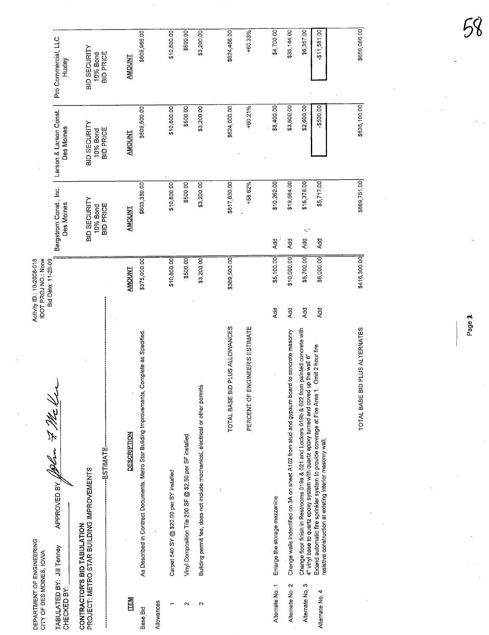| DEPARTMENT OF ENGINEERING<br>CITY OF DES MOINES, IOVA |                                                                                                                                                                                            | Activity ID: 10-2008-018<br>IDOT PROJ NO.: None |                                                     |                                              |                                              |  |
|-------------------------------------------------------|--------------------------------------------------------------------------------------------------------------------------------------------------------------------------------------------|-------------------------------------------------|-----------------------------------------------------|----------------------------------------------|----------------------------------------------|--|
| TABULATED BY: Jill Tenney<br>CHECKED BY:              | APPROVED BY JORN 7 Me Ker                                                                                                                                                                  | Bid Date: 11-23-09                              | Bergstrom Const., Inc.<br>Des Moines                | Larson & Larson Const.<br>Des Moines         | Pro Commercial, LLC<br>Huxley                |  |
|                                                       | PROJECT: METRO STAR BUILDING IMPROVEMENTS<br>CONTRACTOR'S BID TABULATION                                                                                                                   |                                                 | BID SECURITY<br><b>BID PRICE</b><br>10% Bond        | BID SECURITY<br><b>BID PRICE</b><br>10% Bond | BID SECURITY<br><b>BID PRICE</b><br>10% Bond |  |
|                                                       | ----ESTIMATE-                                                                                                                                                                              |                                                 |                                                     |                                              |                                              |  |
| <b>ILEW</b>                                           | <b>DESCRIPTION</b>                                                                                                                                                                         | <b>TNUOWA</b>                                   | <b>TNUONA</b>                                       | <b>AMOUNT</b>                                | <b>AMOUNT</b>                                |  |
| Base Bid                                              | As Described in Contract Documents, Metro Star Building Improvements, Complete as Specified                                                                                                | \$375,000.00                                    | \$603,330.00                                        | \$609,500.00                                 | \$609,966.00                                 |  |
| Allowances                                            |                                                                                                                                                                                            |                                                 |                                                     |                                              |                                              |  |
|                                                       | Carpet 540 SY @ \$20.00 per SY installed                                                                                                                                                   | \$10,800.00                                     | \$10,800.00                                         | \$10,800.00                                  | \$10,800.00                                  |  |
| $\mathbf{\Omega}$                                     | Vinyl Composition Tile 200 SF @ \$2.50 per SF installed                                                                                                                                    | \$500.00                                        | \$500.00                                            | \$500.00                                     | \$500.00                                     |  |
| S                                                     | Building permit fee, does not include mechanical, electrical or other permits                                                                                                              | \$3,200.00                                      | \$3,200.00                                          | \$3,200.00                                   | \$3,200.00                                   |  |
|                                                       |                                                                                                                                                                                            |                                                 |                                                     |                                              |                                              |  |
|                                                       | PLUS ALLOWANCES<br>TOTAL BASE BID                                                                                                                                                          | \$389,500.00                                    | \$617,830.00                                        | \$624,000.00                                 | \$624,466.00                                 |  |
|                                                       | GINEER'S ESTIMATE<br>PERCENT OF EN                                                                                                                                                         |                                                 | +58.62%                                             | +60.21%                                      | +60.33%                                      |  |
| Alternate No. 1                                       | Enlarge the storage mezzanine                                                                                                                                                              | \$5,100.00<br>Add                               | \$10,262.00<br>Add                                  | \$8,400.00                                   | \$4,700.00                                   |  |
| Alternate No. 2                                       | Change walls indentified on 3A on sheet A102 from stud and gypsum board to concrete masonry                                                                                                | \$10,000.00<br><b>Add</b>                       | \$19,564.00<br>Add                                  | \$3,600.00                                   | \$35,144.00                                  |  |
| Alternate No. 3                                       | painted concrete with<br>4" vinyl base to quartz epoxy system with quartz epoxy turned and coved up the wall 6"<br>Change floor finish in Restrooms 019a & 021 and Lockers 019b & 022 from | \$5,700.00<br><b>Add</b>                        | \$16,378.00<br>$\mathbf{s}_i$ $\mathbf{s}_i$<br>Add | \$2,600.00                                   | \$6,357.00                                   |  |
| Alternate No. 4                                       | Omit 2 hour fire<br>Extend automatic fire sprinkler system to provide coverage at Fire Area 1.<br>resistive construction at existing interior masonry wall                                 | \$6,000.00<br><b>Add</b>                        | \$5,717.00<br>ЪP                                    | -\$500.00                                    | \$11,581.00                                  |  |
|                                                       |                                                                                                                                                                                            |                                                 |                                                     |                                              |                                              |  |
|                                                       | PLUS ALTERNATES<br>TOTAL BASE BID                                                                                                                                                          | \$416,300.00                                    | \$669,751.00                                        | \$638,100.00                                 | \$659,086.00                                 |  |

Page **1** 

~oQ